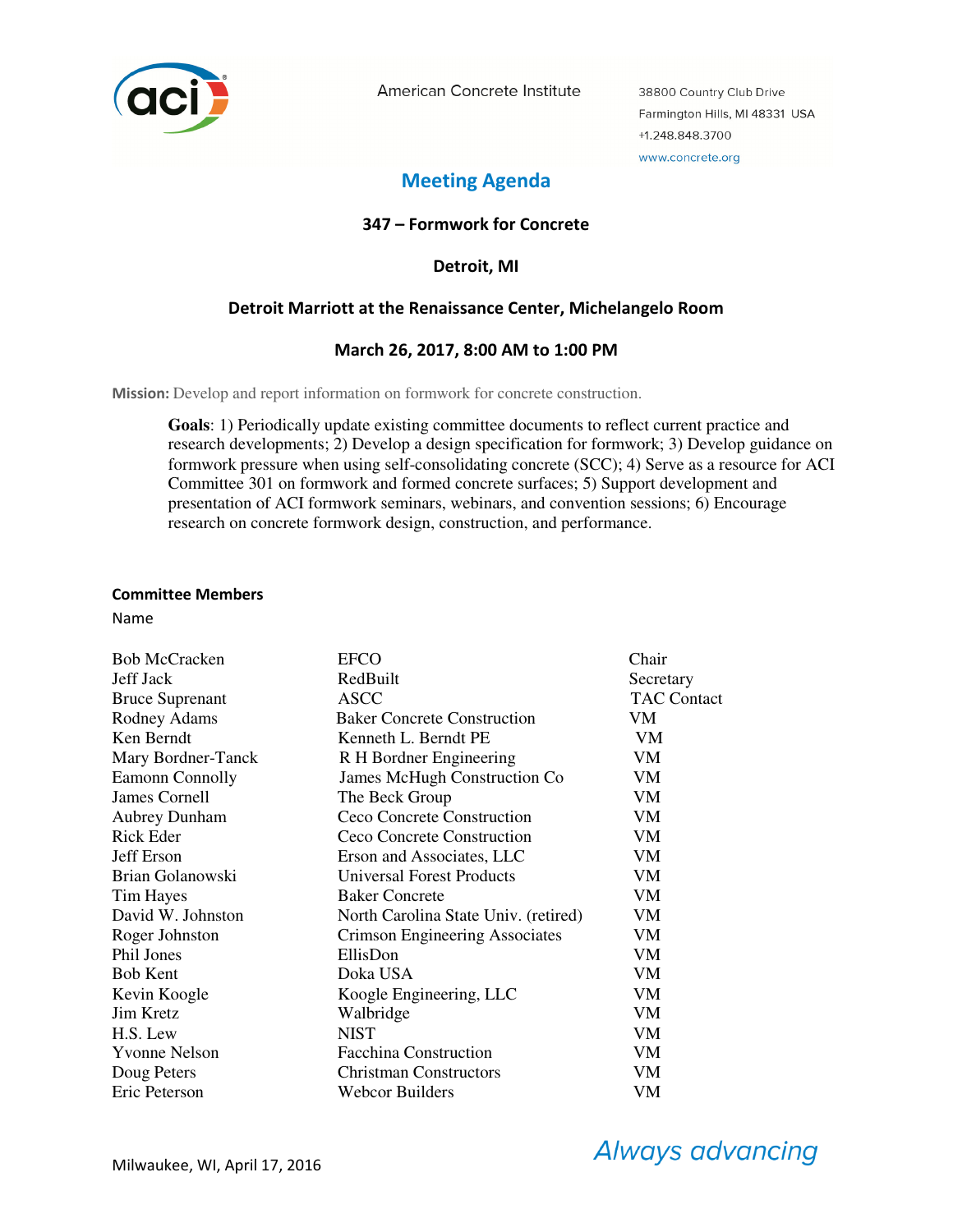

American Concrete Institute

38800 Country Club Drive Farmington Hills, MI 48331 USA +1.248.848.3700 www.concrete.org

# **Meeting Agenda**

# **347 – Formwork for Concrete**

**Detroit, MI** 

# **Detroit Marriott at the Renaissance Center, Michelangelo Room**

# **March 26, 2017, 8:00 AM to 1:00 PM**

**Mission:** Develop and report information on formwork for concrete construction.

**Goals**: 1) Periodically update existing committee documents to reflect current practice and research developments; 2) Develop a design specification for formwork; 3) Develop guidance on formwork pressure when using self-consolidating concrete (SCC); 4) Serve as a resource for ACI Committee 301 on formwork and formed concrete surfaces; 5) Support development and presentation of ACI formwork seminars, webinars, and convention sessions; 6) Encourage research on concrete formwork design, construction, and performance.

#### **Committee Members**

Name

| <b>Bob McCracken</b>   | <b>EFCO</b>                           | Chair              |
|------------------------|---------------------------------------|--------------------|
| Jeff Jack              | RedBuilt                              | Secretary          |
| <b>Bruce Suprenant</b> | <b>ASCC</b>                           | <b>TAC Contact</b> |
| Rodney Adams           | <b>Baker Concrete Construction</b>    | VM                 |
| Ken Berndt             | Kenneth L. Berndt PE                  | VM                 |
| Mary Bordner-Tanck     | R H Bordner Engineering               | VM                 |
| <b>Eamonn Connolly</b> | James McHugh Construction Co          | VM                 |
| James Cornell          | The Beck Group                        | VM                 |
| <b>Aubrey Dunham</b>   | Ceco Concrete Construction            | VM                 |
| Rick Eder              | Ceco Concrete Construction            | VM                 |
| Jeff Erson             | Erson and Associates, LLC             | VM                 |
| Brian Golanowski       | Universal Forest Products             | VM                 |
| <b>Tim Hayes</b>       | <b>Baker Concrete</b>                 | VM                 |
| David W. Johnston      | North Carolina State Univ. (retired)  | VM                 |
| Roger Johnston         | <b>Crimson Engineering Associates</b> | VM                 |
| Phil Jones             | EllisDon                              | VM                 |
| <b>Bob Kent</b>        | Doka USA                              | VM                 |
| Kevin Koogle           | Koogle Engineering, LLC               | VM                 |
| Jim Kretz              | Walbridge                             | VM                 |
| H.S. Lew               | <b>NIST</b>                           | VM                 |
| <b>Yvonne Nelson</b>   | <b>Facchina Construction</b>          | VM                 |
| Doug Peters            | <b>Christman Constructors</b>         | VM                 |
| Eric Peterson          | Webcor Builders                       | VM                 |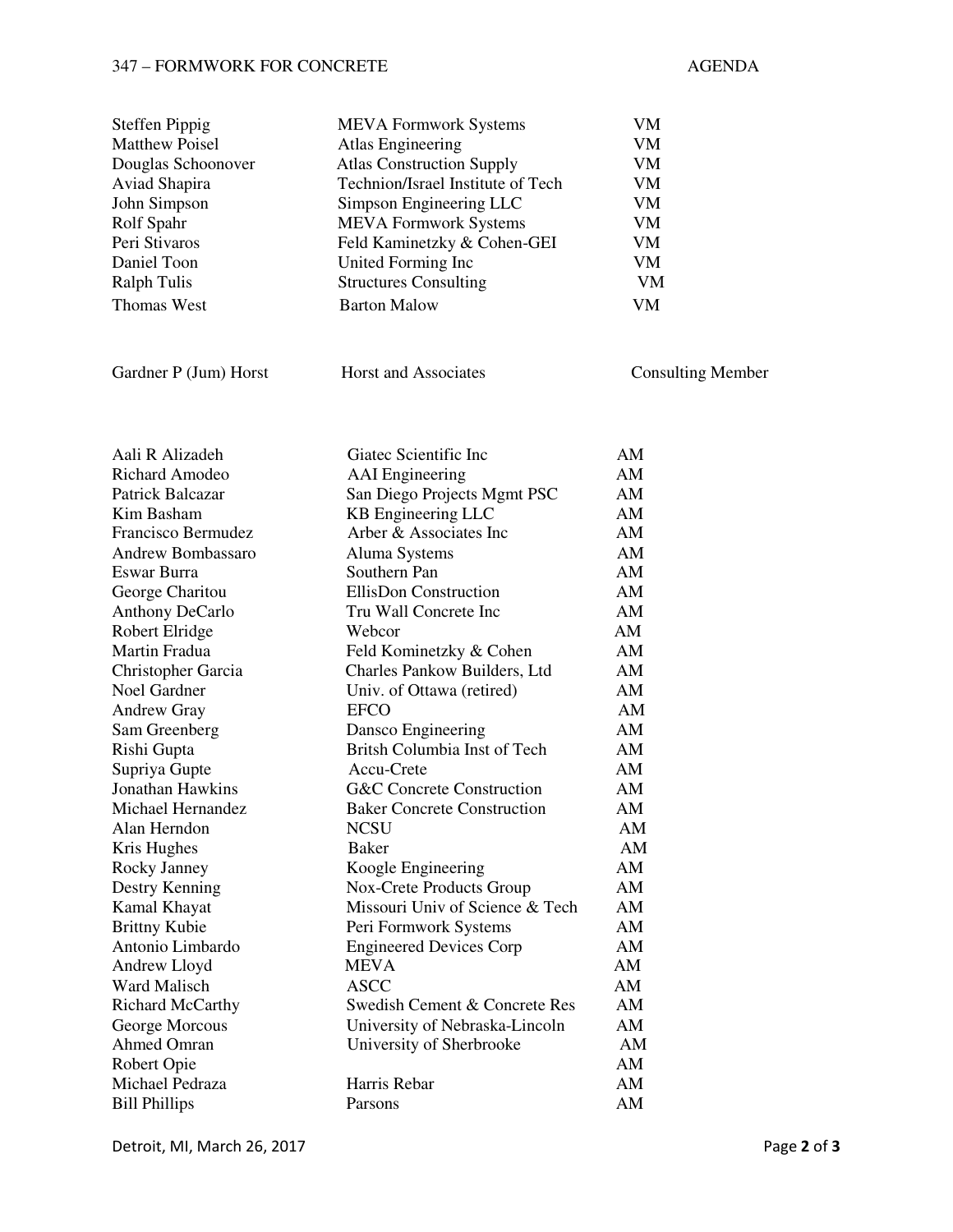# 347 – FORMWORK FOR CONCRETE AGENDA

| <b>Steffen Pippig</b> | <b>MEVA Formwork Systems</b>      | VM                       |
|-----------------------|-----------------------------------|--------------------------|
| <b>Matthew Poisel</b> | Atlas Engineering                 | VM                       |
| Douglas Schoonover    | <b>Atlas Construction Supply</b>  | VM.                      |
| Aviad Shapira         | Technion/Israel Institute of Tech | VM                       |
| John Simpson          | Simpson Engineering LLC           | VM                       |
| Rolf Spahr            | <b>MEVA Formwork Systems</b>      | VM                       |
| Peri Stivaros         | Feld Kaminetzky & Cohen-GEI       | VM                       |
| Daniel Toon           | United Forming Inc.               | VM                       |
| Ralph Tulis           | <b>Structures Consulting</b>      | VM                       |
| <b>Thomas West</b>    | <b>Barton Malow</b>               | <b>VM</b>                |
|                       |                                   |                          |
| Gardner P (Jum) Horst | <b>Horst and Associates</b>       | <b>Consulting Member</b> |

| Aali R Alizadeh          | Giatec Scientific Inc                | AM |
|--------------------------|--------------------------------------|----|
| <b>Richard Amodeo</b>    | <b>AAI</b> Engineering               | AM |
| <b>Patrick Balcazar</b>  | San Diego Projects Mgmt PSC          | AM |
| Kim Basham               | <b>KB</b> Engineering LLC            | AM |
| Francisco Bermudez       | Arber & Associates Inc               | AM |
| <b>Andrew Bombassaro</b> | Aluma Systems                        | AM |
| Eswar Burra              | Southern Pan                         | AM |
| George Charitou          | <b>EllisDon Construction</b>         | AM |
| <b>Anthony DeCarlo</b>   | Tru Wall Concrete Inc                | AM |
| Robert Elridge           | Webcor                               | AM |
| Martin Fradua            | Feld Kominetzky & Cohen              | AM |
| Christopher Garcia       | Charles Pankow Builders, Ltd         | AM |
| Noel Gardner             | Univ. of Ottawa (retired)            | AM |
| <b>Andrew Gray</b>       | <b>EFCO</b>                          | AM |
| Sam Greenberg            | Dansco Engineering                   | AM |
| Rishi Gupta              | Britsh Columbia Inst of Tech         | AM |
| Supriya Gupte            | Accu-Crete                           | AM |
| <b>Jonathan Hawkins</b>  | <b>G&amp;C Concrete Construction</b> | AM |
| Michael Hernandez        | <b>Baker Concrete Construction</b>   | AM |
| Alan Herndon             | <b>NCSU</b>                          | AM |
| Kris Hughes              | <b>Baker</b>                         | AM |
| Rocky Janney             | Koogle Engineering                   | AM |
| Destry Kenning           | Nox-Crete Products Group             | AM |
| Kamal Khayat             | Missouri Univ of Science & Tech      | AM |
| <b>Brittny Kubie</b>     | Peri Formwork Systems                | AM |
| Antonio Limbardo         | <b>Engineered Devices Corp</b>       | AM |
| Andrew Lloyd             | <b>MEVA</b>                          | AM |
| Ward Malisch             | <b>ASCC</b>                          | AM |
| <b>Richard McCarthy</b>  | Swedish Cement & Concrete Res        | AM |
| George Morcous           | University of Nebraska-Lincoln       | AM |
| <b>Ahmed Omran</b>       | University of Sherbrooke             | AM |
| Robert Opie              |                                      | AM |
| Michael Pedraza          | Harris Rebar                         | AM |
| <b>Bill Phillips</b>     | Parsons                              | AM |

Detroit, MI, March 26, 2017 Page **2** of **3**